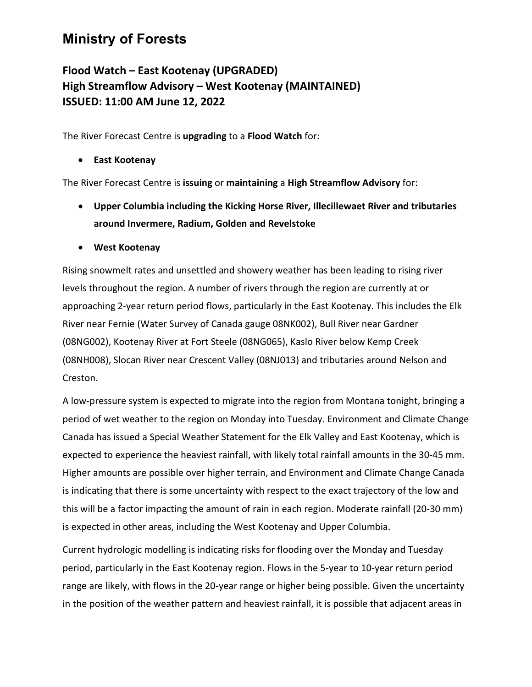## **Ministry of Forests**

## **Flood Watch – East Kootenay (UPGRADED) High Streamflow Advisory – West Kootenay (MAINTAINED) ISSUED: 11:00 AM June 12, 2022**

The River Forecast Centre is **upgrading** to a **Flood Watch** for:

• **East Kootenay**

The River Forecast Centre is **issuing** or **maintaining** a **High Streamflow Advisory** for:

- **Upper Columbia including the Kicking Horse River, Illecillewaet River and tributaries around Invermere, Radium, Golden and Revelstoke**
- **West Kootenay**

Rising snowmelt rates and unsettled and showery weather has been leading to rising river levels throughout the region. A number of rivers through the region are currently at or approaching 2-year return period flows, particularly in the East Kootenay. This includes the Elk River near Fernie (Water Survey of Canada gauge 08NK002), Bull River near Gardner (08NG002), Kootenay River at Fort Steele (08NG065), Kaslo River below Kemp Creek (08NH008), Slocan River near Crescent Valley (08NJ013) and tributaries around Nelson and Creston.

A low-pressure system is expected to migrate into the region from Montana tonight, bringing a period of wet weather to the region on Monday into Tuesday. Environment and Climate Change Canada has issued a Special Weather Statement for the Elk Valley and East Kootenay, which is expected to experience the heaviest rainfall, with likely total rainfall amounts in the 30-45 mm. Higher amounts are possible over higher terrain, and Environment and Climate Change Canada is indicating that there is some uncertainty with respect to the exact trajectory of the low and this will be a factor impacting the amount of rain in each region. Moderate rainfall (20-30 mm) is expected in other areas, including the West Kootenay and Upper Columbia.

Current hydrologic modelling is indicating risks for flooding over the Monday and Tuesday period, particularly in the East Kootenay region. Flows in the 5-year to 10-year return period range are likely, with flows in the 20-year range or higher being possible. Given the uncertainty in the position of the weather pattern and heaviest rainfall, it is possible that adjacent areas in